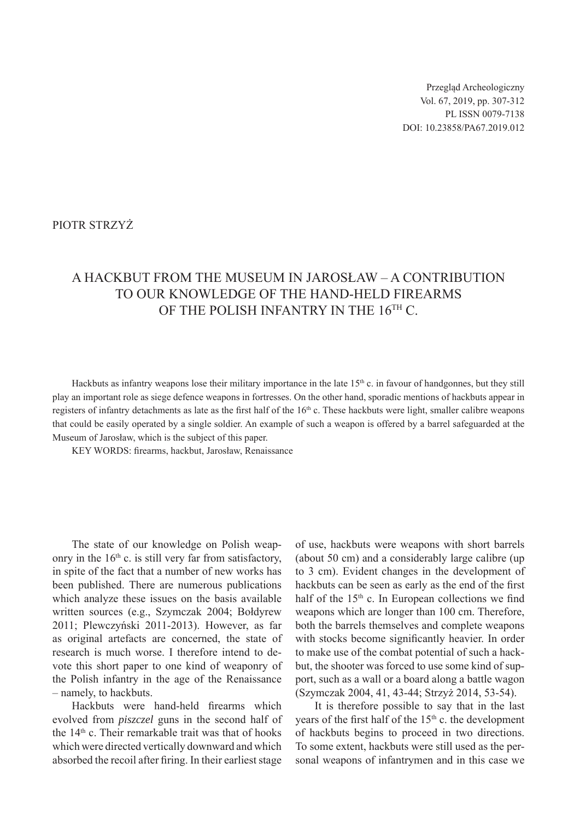Przegląd Archeologiczny Vol. 67, 2019, pp. 307-312 PL ISSN 0079-7138 DOI: 10.23858/PA67.2019.012

## PIOTR STRZYŻ

## A hackbut from the Museum in Jarosław – a contribution to our knowledge of the hand-held firearms OF THE POLISH INFANTRY IN THE 16TH C.

Hackbuts as infantry weapons lose their military importance in the late  $15<sup>th</sup>$  c. in favour of handgonnes, but they still play an important role as siege defence weapons in fortresses. On the other hand, sporadic mentions of hackbuts appear in registers of infantry detachments as late as the first half of the 16<sup>th</sup> c. These hackbuts were light, smaller calibre weapons that could be easily operated by a single soldier. An example of such a weapon is offered by a barrel safeguarded at the Museum of Jarosław, which is the subject of this paper.

KEY WORDS: firearms, hackbut, Jarosław, Renaissance

The state of our knowledge on Polish weaponry in the  $16<sup>th</sup>$  c. is still very far from satisfactory, in spite of the fact that a number of new works has been published. There are numerous publications which analyze these issues on the basis available written sources (e.g., Szymczak 2004; Bołdyrew 2011; Plewczyński 2011-2013). However, as far as original artefacts are concerned, the state of research is much worse. I therefore intend to devote this short paper to one kind of weaponry of the Polish infantry in the age of the Renaissance – namely, to hackbuts.

Hackbuts were hand-held firearms which evolved from *piszczel* guns in the second half of the 14th c. Their remarkable trait was that of hooks which were directed vertically downward and which absorbed the recoil after firing. In their earliest stage

of use, hackbuts were weapons with short barrels (about 50 cm) and a considerably large calibre (up to 3 cm). Evident changes in the development of hackbuts can be seen as early as the end of the first half of the  $15<sup>th</sup>$  c. In European collections we find weapons which are longer than 100 cm. Therefore, both the barrels themselves and complete weapons with stocks become significantly heavier. In order to make use of the combat potential of such a hackbut, the shooter was forced to use some kind of support, such as a wall or a board along a battle wagon (Szymczak 2004, 41, 43-44; Strzyż 2014, 53-54).

It is therefore possible to say that in the last years of the first half of the 15<sup>th</sup> c. the development of hackbuts begins to proceed in two directions. To some extent, hackbuts were still used as the personal weapons of infantrymen and in this case we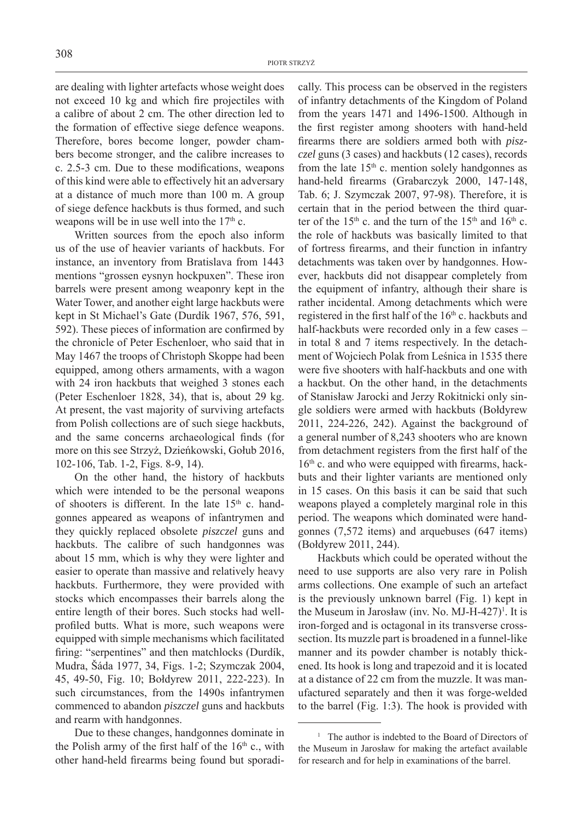are dealing with lighter artefacts whose weight does not exceed 10 kg and which fire projectiles with a calibre of about 2 cm. The other direction led to the formation of effective siege defence weapons. Therefore, bores become longer, powder chambers become stronger, and the calibre increases to c. 2.5-3 cm. Due to these modifications, weapons of this kind were able to effectively hit an adversary at a distance of much more than 100 m. A group of siege defence hackbuts is thus formed, and such weapons will be in use well into the  $17<sup>th</sup>$  c.

Written sources from the epoch also inform us of the use of heavier variants of hackbuts. For instance, an inventory from Bratislava from 1443 mentions "grossen eysnyn hockpuxen". These iron barrels were present among weaponry kept in the Water Tower, and another eight large hackbuts were kept in St Michael's Gate (Durdík 1967, 576, 591, 592). These pieces of information are confirmed by the chronicle of Peter Eschenloer, who said that in May 1467 the troops of Christoph Skoppe had been equipped, among others armaments, with a wagon with 24 iron hackbuts that weighed 3 stones each (Peter Eschenloer 1828, 34), that is, about 29 kg. At present, the vast majority of surviving artefacts from Polish collections are of such siege hackbuts, and the same concerns archaeological finds (for more on this see Strzyż, Dzieńkowski, Gołub 2016, 102-106, Tab. 1-2, Figs. 8-9, 14).

On the other hand, the history of hackbuts which were intended to be the personal weapons of shooters is different. In the late  $15<sup>th</sup>$  c. handgonnes appeared as weapons of infantrymen and they quickly replaced obsolete *piszczel* guns and hackbuts. The calibre of such handgonnes was about 15 mm, which is why they were lighter and easier to operate than massive and relatively heavy hackbuts. Furthermore, they were provided with stocks which encompasses their barrels along the entire length of their bores. Such stocks had wellprofiled butts. What is more, such weapons were equipped with simple mechanisms which facilitated firing: "serpentines" and then matchlocks (Durdík, Mudra, Šáda 1977, 34, Figs. 1-2; Szymczak 2004, 45, 49-50, Fig. 10; Bołdyrew 2011, 222-223). In such circumstances, from the 1490s infantrymen commenced to abandon *piszczel* guns and hackbuts and rearm with handgonnes.

Due to these changes, handgonnes dominate in the Polish army of the first half of the  $16<sup>th</sup>$  c., with other hand-held firearms being found but sporadically. This process can be observed in the registers of infantry detachments of the Kingdom of Poland from the years 1471 and 1496-1500. Although in the first register among shooters with hand-held firearms there are soldiers armed both with *piszczel* guns (3 cases) and hackbuts (12 cases), records from the late  $15<sup>th</sup>$  c. mention solely handgonnes as hand-held firearms (Grabarczyk 2000, 147-148, Tab. 6; J. Szymczak 2007, 97-98). Therefore, it is certain that in the period between the third quarter of the  $15<sup>th</sup>$  c. and the turn of the  $15<sup>th</sup>$  and  $16<sup>th</sup>$  c. the role of hackbuts was basically limited to that of fortress firearms, and their function in infantry detachments was taken over by handgonnes. However, hackbuts did not disappear completely from the equipment of infantry, although their share is rather incidental. Among detachments which were registered in the first half of the 16<sup>th</sup> c. hackbuts and half-hackbuts were recorded only in a few cases – in total 8 and 7 items respectively. In the detachment of Wojciech Polak from Leśnica in 1535 there were five shooters with half-hackbuts and one with a hackbut. On the other hand, in the detachments of Stanisław Jarocki and Jerzy Rokitnicki only single soldiers were armed with hackbuts (Bołdyrew 2011, 224-226, 242). Against the background of a general number of 8,243 shooters who are known from detachment registers from the first half of the  $16<sup>th</sup>$  c. and who were equipped with firearms, hackbuts and their lighter variants are mentioned only in 15 cases. On this basis it can be said that such weapons played a completely marginal role in this period. The weapons which dominated were handgonnes (7,572 items) and arquebuses (647 items) (Bołdyrew 2011, 244).

Hackbuts which could be operated without the need to use supports are also very rare in Polish arms collections. One example of such an artefact is the previously unknown barrel (Fig. 1) kept in the Museum in Jarosław (inv. No. MJ-H-427)<sup>1</sup>. It is iron-forged and is octagonal in its transverse crosssection. Its muzzle part is broadened in a funnel-like manner and its powder chamber is notably thickened. Its hook is long and trapezoid and it is located at a distance of 22 cm from the muzzle. It was manufactured separately and then it was forge-welded to the barrel (Fig. 1:3). The hook is provided with

<sup>&</sup>lt;sup>1</sup> The author is indebted to the Board of Directors of the Museum in Jarosław for making the artefact available for research and for help in examinations of the barrel.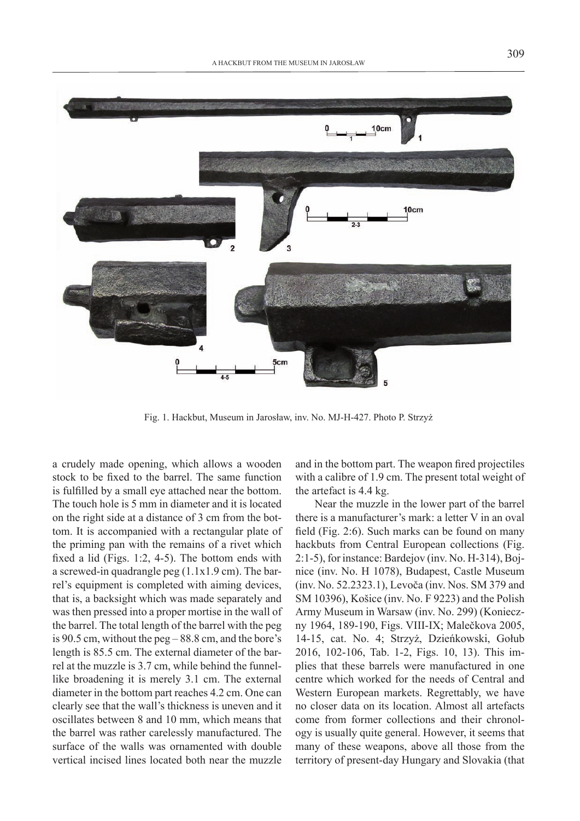

Fig. 1. Hackbut, Museum in Jarosław, inv. No. MJ-H-427. Photo P. Strzyż

a crudely made opening, which allows a wooden stock to be fixed to the barrel. The same function is fulfilled by a small eye attached near the bottom. The touch hole is 5 mm in diameter and it is located on the right side at a distance of 3 cm from the bottom. It is accompanied with a rectangular plate of the priming pan with the remains of a rivet which fixed a lid (Figs. 1:2, 4-5). The bottom ends with a screwed-in quadrangle peg (1.1x1.9 cm). The barrel's equipment is completed with aiming devices, that is, a backsight which was made separately and was then pressed into a proper mortise in the wall of the barrel. The total length of the barrel with the peg is 90.5 cm, without the peg – 88.8 cm, and the bore's length is 85.5 cm. The external diameter of the barrel at the muzzle is 3.7 cm, while behind the funnellike broadening it is merely 3.1 cm. The external diameter in the bottom part reaches 4.2 cm. One can clearly see that the wall's thickness is uneven and it oscillates between 8 and 10 mm, which means that the barrel was rather carelessly manufactured. The surface of the walls was ornamented with double vertical incised lines located both near the muzzle

and in the bottom part. The weapon fired projectiles with a calibre of 1.9 cm. The present total weight of the artefact is 4.4 kg.

Near the muzzle in the lower part of the barrel there is a manufacturer's mark: a letter V in an oval field (Fig. 2:6). Such marks can be found on many hackbuts from Central European collections (Fig. 2:1-5), for instance: Bardejov (inv. No. H-314), Bojnice (inv. No. H 1078), Budapest, Castle Museum (inv. No. 52.2323.1), Levoča (inv. Nos. SM 379 and SM 10396), Košice (inv. No. F 9223) and the Polish Army Museum in Warsaw (inv. No. 299) (Konieczny 1964, 189-190, Figs. VIII-IX; Malečkova 2005, 14-15, cat. No. 4; Strzyż, Dzieńkowski, Gołub 2016, 102-106, Tab. 1-2, Figs. 10, 13). This implies that these barrels were manufactured in one centre which worked for the needs of Central and Western European markets. Regrettably, we have no closer data on its location. Almost all artefacts come from former collections and their chronology is usually quite general. However, it seems that many of these weapons, above all those from the territory of present-day Hungary and Slovakia (that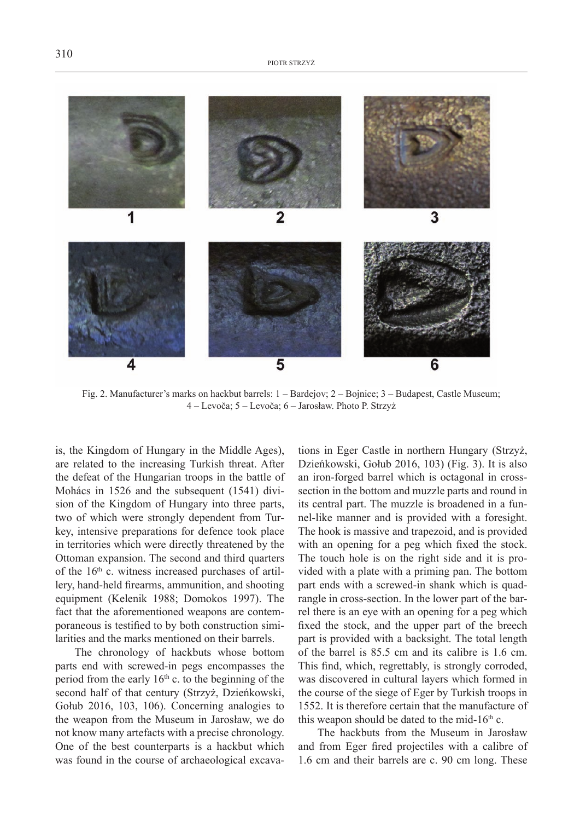1 3 2 6 4 5

Fig. 2. Manufacturer's marks on hackbut barrels: 1 – Bardejov; 2 – Bojnice; 3 – Budapest, Castle Museum; 4 – Levoča; 5 – Levoča; 6 – Jarosław. Photo P. Strzyż

is, the Kingdom of Hungary in the Middle Ages), are related to the increasing Turkish threat. After the defeat of the Hungarian troops in the battle of Mohács in 1526 and the subsequent (1541) division of the Kingdom of Hungary into three parts, two of which were strongly dependent from Turkey, intensive preparations for defence took place in territories which were directly threatened by the Ottoman expansion. The second and third quarters of the  $16<sup>th</sup>$  c. witness increased purchases of artillery, hand-held firearms, ammunition, and shooting equipment (Kelenik 1988; Domokos 1997). The fact that the aforementioned weapons are contemporaneous is testified to by both construction similarities and the marks mentioned on their barrels.

The chronology of hackbuts whose bottom parts end with screwed-in pegs encompasses the period from the early  $16<sup>th</sup>$  c. to the beginning of the second half of that century (Strzyż, Dzieńkowski, Gołub 2016, 103, 106). Concerning analogies to the weapon from the Museum in Jarosław, we do not know many artefacts with a precise chronology. One of the best counterparts is a hackbut which was found in the course of archaeological excava-

tions in Eger Castle in northern Hungary (Strzyż, Dzieńkowski, Gołub 2016, 103) (Fig. 3). It is also an iron-forged barrel which is octagonal in crosssection in the bottom and muzzle parts and round in its central part. The muzzle is broadened in a funnel-like manner and is provided with a foresight. The hook is massive and trapezoid, and is provided with an opening for a peg which fixed the stock. The touch hole is on the right side and it is provided with a plate with a priming pan. The bottom part ends with a screwed-in shank which is quadrangle in cross-section. In the lower part of the barrel there is an eye with an opening for a peg which fixed the stock, and the upper part of the breech part is provided with a backsight. The total length of the barrel is 85.5 cm and its calibre is 1.6 cm. This find, which, regrettably, is strongly corroded, was discovered in cultural layers which formed in the course of the siege of Eger by Turkish troops in 1552. It is therefore certain that the manufacture of this weapon should be dated to the mid- $16<sup>th</sup>$  c.

The hackbuts from the Museum in Jarosław and from Eger fired projectiles with a calibre of 1.6 cm and their barrels are c. 90 cm long. These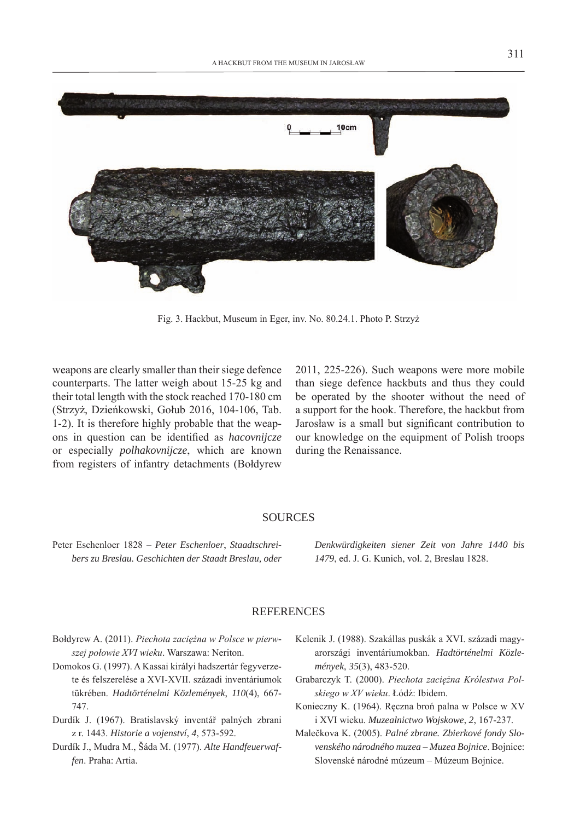

Fig. 3. Hackbut, Museum in Eger, inv. No. 80.24.1. Photo P. Strzyż

weapons are clearly smaller than their siege defence counterparts. The latter weigh about 15-25 kg and their total length with the stock reached 170-180 cm (Strzyż, Dzieńkowski, Gołub 2016, 104-106, Tab. 1-2). It is therefore highly probable that the weapons in question can be identified as *hacovnijcze* or especially *polhakovnijcze*, which are known from registers of infantry detachments (Bołdyrew

2011, 225-226). Such weapons were more mobile than siege defence hackbuts and thus they could be operated by the shooter without the need of a support for the hook. Therefore, the hackbut from Jarosław is a small but significant contribution to our knowledge on the equipment of Polish troops during the Renaissance.

## **SOURCES**

Peter Eschenloer 1828 – *Peter Eschenloer*, *Staadtschreibers zu Breslau. Geschichten der Staadt Breslau, oder*  *Denkwürdigkeiten siener Zeit von Jahre 1440 bis 1479*, ed. J. G. Kunich, vol. 2, Breslau 1828.

## **REFERENCES**

- Bołdyrew A. (2011). *Piechota zaciężna w Polsce w pierwszej połowie XVI wieku*. Warszawa: Neriton.
- Domokos G. (1997). A Kassai királyi hadszertár fegyverzete és felszerelése a XVI-XVII. századi inventáriumok tükrében. *Hadtörténelmi Közlemények*, *110*(4), 667- 747.
- Durdík J. (1967). Bratislavský inventář palných zbrani z r. 1443. *Historie a vojenství*, *4*, 573-592.
- Durdík J., Mudra M., Šáda M. (1977). *Alte Handfeuerwaffen*. Praha: Artia.
- Kelenik J. (1988). Szakállas puskák a XVI. századi magyarországi inventáriumokban. *Hadtörténelmi Közlemények*, *35*(3), 483-520.
- Grabarczyk T. (2000). *Piechota zaciężna Królestwa Polskiego w XV wieku*. Łódź: Ibidem.
- Konieczny K. (1964). Ręczna broń palna w Polsce w XV i XVI wieku. *Muzealnictwo Wojskowe*, *2*, 167-237.
- Malečkova K. (2005). *Palné zbrane. Zbierkové fondy Slovenského národného muzea – Muzea Bojnice*. Bojnice: Slovenské národné múzeum – Múzeum Bojnice.